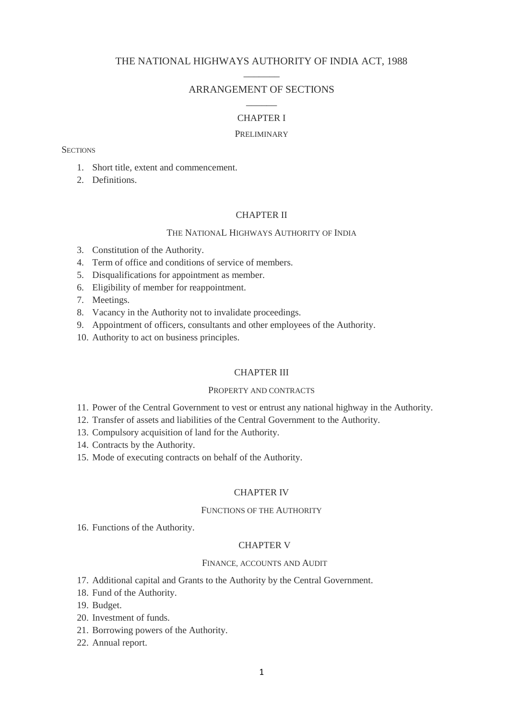# THE NATIONAL HIGHWAYS AUTHORITY OF INDIA ACT, 1988  $\overline{\phantom{a}}$

# ARRANGEMENT OF SECTIONS  $\overline{\phantom{a}}$

# CHAPTER I

#### **PRELIMINARY**

**SECTIONS** 

- 1. Short title, extent and commencement.
- 2. Definitions.

# CHAPTER II

# THE NATIONAL HIGHWAYS AUTHORITY OF INDIA

- 3. Constitution of the Authority.
- 4. Term of office and conditions of service of members.
- 5. Disqualifications for appointment as member.
- 6. Eligibility of member for reappointment.
- 7. Meetings.
- 8. Vacancy in the Authority not to invalidate proceedings.
- 9. Appointment of officers, consultants and other employees of the Authority.
- 10. Authority to act on business principles.

## CHAPTER III

### PROPERTY AND CONTRACTS

- 11. Power of the Central Government to vest or entrust any national highway in the Authority.
- 12. Transfer of assets and liabilities of the Central Government to the Authority.
- 13. Compulsory acquisition of land for the Authority.
- 14. Contracts by the Authority.
- 15. Mode of executing contracts on behalf of the Authority.

## CHAPTER IV

#### FUNCTIONS OF THE AUTHORITY

16. Functions of the Authority.

#### CHAPTER V

# FINANCE, ACCOUNTS AND AUDIT

- 17. Additional capital and Grants to the Authority by the Central Government.
- 18. Fund of the Authority.
- 19. Budget.
- 20. Investment of funds.
- 21. Borrowing powers of the Authority.
- 22. Annual report.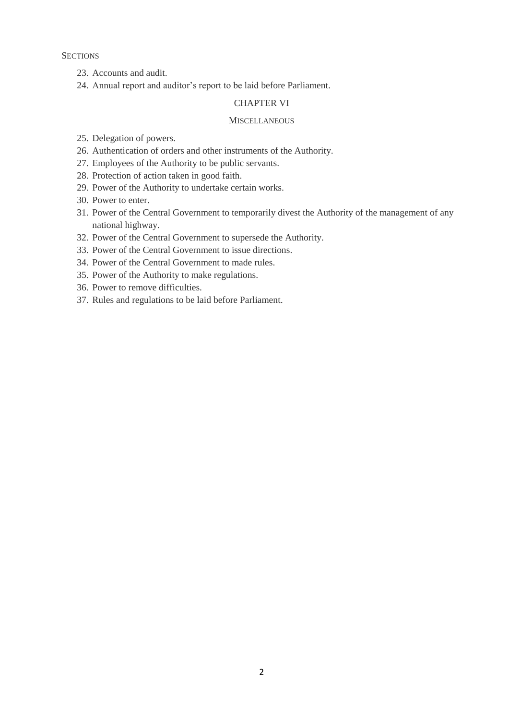**SECTIONS** 

- 23. Accounts and audit.
- 24. Annual report and auditor's report to be laid before Parliament.

# CHAPTER VI

### **MISCELLANEOUS**

- 25. Delegation of powers.
- 26. Authentication of orders and other instruments of the Authority.
- 27. Employees of the Authority to be public servants.
- 28. Protection of action taken in good faith.
- 29. Power of the Authority to undertake certain works.
- 30. Power to enter.
- 31. Power of the Central Government to temporarily divest the Authority of the management of any national highway.
- 32. Power of the Central Government to supersede the Authority.
- 33. Power of the Central Government to issue directions.
- 34. Power of the Central Government to made rules.
- 35. Power of the Authority to make regulations.
- 36. Power to remove difficulties.
- 37. Rules and regulations to be laid before Parliament.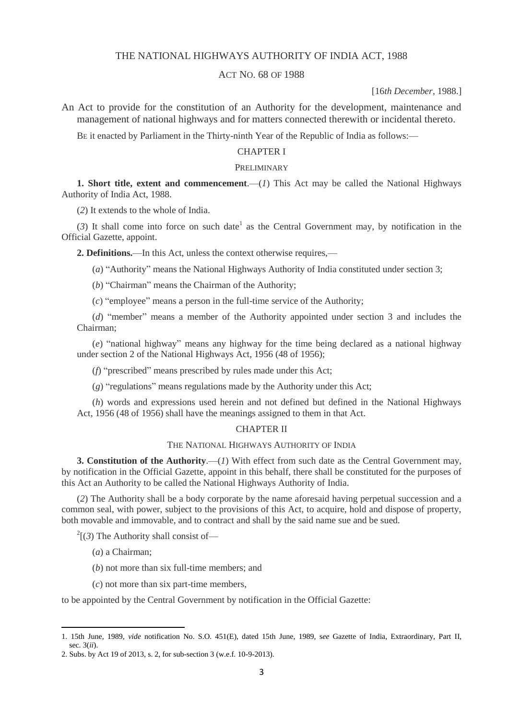# THE NATIONAL HIGHWAYS AUTHORITY OF INDIA ACT, 1988

### ACT NO. 68 OF 1988

[16*th December*, 1988.]

An Act to provide for the constitution of an Authority for the development, maintenance and management of national highways and for matters connected therewith or incidental thereto.

BE it enacted by Parliament in the Thirty-ninth Year of the Republic of India as follows:—

# CHAPTER I

# PRELIMINARY

**1. Short title, extent and commencement**.— $(I)$  This Act may be called the National Highways Authority of India Act, 1988.

(*2*) It extends to the whole of India.

 $(3)$  It shall come into force on such date<sup>1</sup> as the Central Government may, by notification in the Official Gazette, appoint.

**2. Definitions.**—In this Act, unless the context otherwise requires,—

(*a*) "Authority" means the National Highways Authority of India constituted under section 3;

- (*b*) "Chairman" means the Chairman of the Authority;
- (*c*) "employee" means a person in the full-time service of the Authority;

(*d*) "member" means a member of the Authority appointed under section 3 and includes the Chairman;

(*e*) "national highway" means any highway for the time being declared as a national highway under section 2 of the National Highways Act, 1956 (48 of 1956);

(*f*) "prescribed" means prescribed by rules made under this Act;

(*g*) "regulations" means regulations made by the Authority under this Act;

(*h*) words and expressions used herein and not defined but defined in the National Highways Act, 1956 (48 of 1956) shall have the meanings assigned to them in that Act.

#### CHAPTER II

### THE NATIONAL HIGHWAYS AUTHORITY OF INDIA

**3. Constitution of the Authority**.—(*1*) With effect from such date as the Central Government may, by notification in the Official Gazette, appoint in this behalf, there shall be constituted for the purposes of this Act an Authority to be called the National Highways Authority of India.

(*2*) The Authority shall be a body corporate by the name aforesaid having perpetual succession and a common seal, with power, subject to the provisions of this Act, to acquire, hold and dispose of property, both movable and immovable, and to contract and shall by the said name sue and be sued.

 $2^2$ [(3) The Authority shall consist of—

(*a*) a Chairman;

**.** 

- (*b*) not more than six full-time members; and
- (*c*) not more than six part-time members,

to be appointed by the Central Government by notification in the Official Gazette:

<sup>1. 15</sup>th June, 1989, *vide* notification No. S.O. 451(E), dated 15th June, 1989, s*ee* Gazette of India, Extraordinary, Part II, sec. 3(*ii*).

<sup>2.</sup> Subs. by Act 19 of 2013, s. 2, for sub-section 3 (w.e.f. 10-9-2013).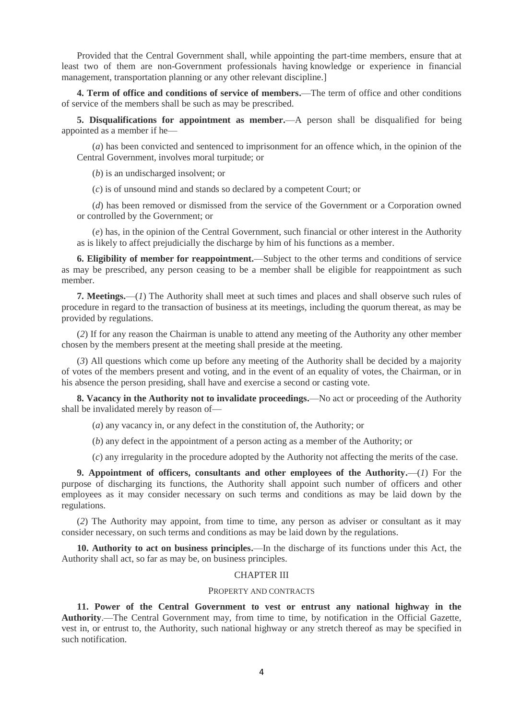Provided that the Central Government shall, while appointing the part-time members, ensure that at least two of them are non-Government professionals having knowledge or experience in financial management, transportation planning or any other relevant discipline.]

**4. Term of office and conditions of service of members.**—The term of office and other conditions of service of the members shall be such as may be prescribed.

**5. Disqualifications for appointment as member.**—A person shall be disqualified for being appointed as a member if he—

(*a*) has been convicted and sentenced to imprisonment for an offence which, in the opinion of the Central Government, involves moral turpitude; or

(*b*) is an undischarged insolvent; or

(*c*) is of unsound mind and stands so declared by a competent Court; or

(*d*) has been removed or dismissed from the service of the Government or a Corporation owned or controlled by the Government; or

(*e*) has, in the opinion of the Central Government, such financial or other interest in the Authority as is likely to affect prejudicially the discharge by him of his functions as a member.

**6. Eligibility of member for reappointment.**—Subject to the other terms and conditions of service as may be prescribed, any person ceasing to be a member shall be eligible for reappointment as such member.

**7. Meetings.**—(*1*) The Authority shall meet at such times and places and shall observe such rules of procedure in regard to the transaction of business at its meetings, including the quorum thereat, as may be provided by regulations.

(*2*) If for any reason the Chairman is unable to attend any meeting of the Authority any other member chosen by the members present at the meeting shall preside at the meeting.

(*3*) All questions which come up before any meeting of the Authority shall be decided by a majority of votes of the members present and voting, and in the event of an equality of votes, the Chairman, or in his absence the person presiding, shall have and exercise a second or casting vote.

**8. Vacancy in the Authority not to invalidate proceedings.**—No act or proceeding of the Authority shall be invalidated merely by reason of—

(*a*) any vacancy in, or any defect in the constitution of, the Authority; or

(*b*) any defect in the appointment of a person acting as a member of the Authority; or

(*c*) any irregularity in the procedure adopted by the Authority not affecting the merits of the case.

**9. Appointment of officers, consultants and other employees of the Authority.**—(*1*) For the purpose of discharging its functions, the Authority shall appoint such number of officers and other employees as it may consider necessary on such terms and conditions as may be laid down by the regulations.

(*2*) The Authority may appoint, from time to time, any person as adviser or consultant as it may consider necessary, on such terms and conditions as may be laid down by the regulations.

**10. Authority to act on business principles.**—In the discharge of its functions under this Act, the Authority shall act, so far as may be, on business principles.

# CHAPTER III

#### PROPERTY AND CONTRACTS

**11. Power of the Central Government to vest or entrust any national highway in the Authority**.—The Central Government may, from time to time, by notification in the Official Gazette, vest in, or entrust to, the Authority, such national highway or any stretch thereof as may be specified in such notification.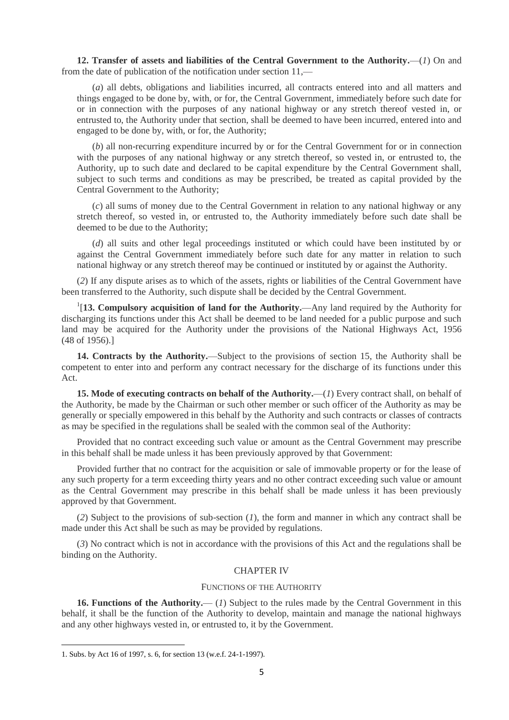**12. Transfer of assets and liabilities of the Central Government to the Authority.**—(*1*) On and from the date of publication of the notification under section 11,—

(*a*) all debts, obligations and liabilities incurred, all contracts entered into and all matters and things engaged to be done by, with, or for, the Central Government, immediately before such date for or in connection with the purposes of any national highway or any stretch thereof vested in, or entrusted to, the Authority under that section, shall be deemed to have been incurred, entered into and engaged to be done by, with, or for, the Authority;

(*b*) all non-recurring expenditure incurred by or for the Central Government for or in connection with the purposes of any national highway or any stretch thereof, so vested in, or entrusted to, the Authority, up to such date and declared to be capital expenditure by the Central Government shall, subject to such terms and conditions as may be prescribed, be treated as capital provided by the Central Government to the Authority;

(*c*) all sums of money due to the Central Government in relation to any national highway or any stretch thereof, so vested in, or entrusted to, the Authority immediately before such date shall be deemed to be due to the Authority;

(*d*) all suits and other legal proceedings instituted or which could have been instituted by or against the Central Government immediately before such date for any matter in relation to such national highway or any stretch thereof may be continued or instituted by or against the Authority.

(*2*) If any dispute arises as to which of the assets, rights or liabilities of the Central Government have been transferred to the Authority, such dispute shall be decided by the Central Government.

1 [**13. Compulsory acquisition of land for the Authority.**—Any land required by the Authority for discharging its functions under this Act shall be deemed to be land needed for a public purpose and such land may be acquired for the Authority under the provisions of the National Highways Act, 1956 (48 of 1956).]

**14. Contracts by the Authority.**—Subject to the provisions of section 15, the Authority shall be competent to enter into and perform any contract necessary for the discharge of its functions under this Act.

**15. Mode of executing contracts on behalf of the Authority.**—(*1*) Every contract shall, on behalf of the Authority, be made by the Chairman or such other member or such officer of the Authority as may be generally or specially empowered in this behalf by the Authority and such contracts or classes of contracts as may be specified in the regulations shall be sealed with the common seal of the Authority:

Provided that no contract exceeding such value or amount as the Central Government may prescribe in this behalf shall be made unless it has been previously approved by that Government:

Provided further that no contract for the acquisition or sale of immovable property or for the lease of any such property for a term exceeding thirty years and no other contract exceeding such value or amount as the Central Government may prescribe in this behalf shall be made unless it has been previously approved by that Government.

(*2*) Subject to the provisions of sub-section (*1*), the form and manner in which any contract shall be made under this Act shall be such as may be provided by regulations.

(*3*) No contract which is not in accordance with the provisions of this Act and the regulations shall be binding on the Authority.

### CHAPTER IV

#### FUNCTIONS OF THE AUTHORITY

**16. Functions of the Authority.**— (*1*) Subject to the rules made by the Central Government in this behalf, it shall be the function of the Authority to develop, maintain and manage the national highways and any other highways vested in, or entrusted to, it by the Government.

**.** 

<sup>1.</sup> Subs. by Act 16 of 1997, s. 6, for section 13 (w.e.f. 24-1-1997).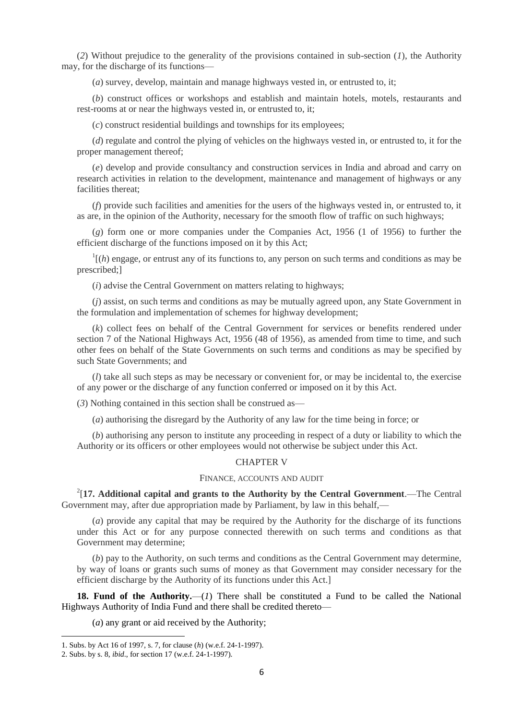(*2*) Without prejudice to the generality of the provisions contained in sub-section (*1*), the Authority may, for the discharge of its functions—

(*a*) survey, develop, maintain and manage highways vested in, or entrusted to, it;

(*b*) construct offices or workshops and establish and maintain hotels, motels, restaurants and rest-rooms at or near the highways vested in, or entrusted to, it;

(*c*) construct residential buildings and townships for its employees;

(*d*) regulate and control the plying of vehicles on the highways vested in, or entrusted to, it for the proper management thereof;

(*e*) develop and provide consultancy and construction services in India and abroad and carry on research activities in relation to the development, maintenance and management of highways or any facilities thereat;

(*f*) provide such facilities and amenities for the users of the highways vested in, or entrusted to, it as are, in the opinion of the Authority, necessary for the smooth flow of traffic on such highways;

(*g*) form one or more companies under the Companies Act, 1956 (1 of 1956) to further the efficient discharge of the functions imposed on it by this Act;

 $\frac{1}{1}$ (*h*) engage, or entrust any of its functions to, any person on such terms and conditions as may be prescribed;]

(*i*) advise the Central Government on matters relating to highways;

(*j*) assist, on such terms and conditions as may be mutually agreed upon, any State Government in the formulation and implementation of schemes for highway development;

(*k*) collect fees on behalf of the Central Government for services or benefits rendered under section 7 of the National Highways Act, 1956 (48 of 1956), as amended from time to time, and such other fees on behalf of the State Governments on such terms and conditions as may be specified by such State Governments; and

(*l*) take all such steps as may be necessary or convenient for, or may be incidental to, the exercise of any power or the discharge of any function conferred or imposed on it by this Act.

(*3*) Nothing contained in this section shall be construed as—

(*a*) authorising the disregard by the Authority of any law for the time being in force; or

(*b*) authorising any person to institute any proceeding in respect of a duty or liability to which the Authority or its officers or other employees would not otherwise be subject under this Act.

# CHAPTER V

#### FINANCE, ACCOUNTS AND AUDIT

 $2$ [17. Additional capital and grants to the Authority by the Central Government.—The Central Government may, after due appropriation made by Parliament, by law in this behalf,—

(*a*) provide any capital that may be required by the Authority for the discharge of its functions under this Act or for any purpose connected therewith on such terms and conditions as that Government may determine;

(*b*) pay to the Authority, on such terms and conditions as the Central Government may determine, by way of loans or grants such sums of money as that Government may consider necessary for the efficient discharge by the Authority of its functions under this Act.]

**18. Fund of the Authority.**—(*1*) There shall be constituted a Fund to be called the National Highways Authority of India Fund and there shall be credited thereto—

(*a*) any grant or aid received by the Authority;

1

<sup>1.</sup> Subs. by Act 16 of 1997, s. 7, for clause (*h*) (w.e.f. 24-1-1997).

<sup>2.</sup> Subs. by s. 8, *ibid*., for section 17 (w.e.f. 24-1-1997).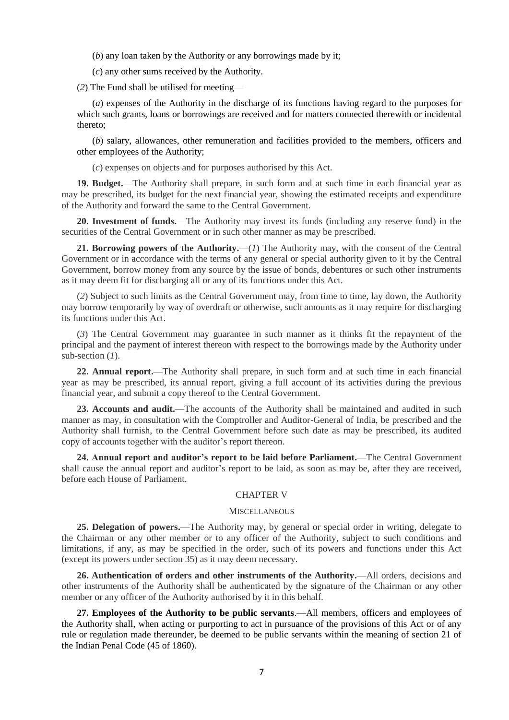(*b*) any loan taken by the Authority or any borrowings made by it;

(*c*) any other sums received by the Authority.

(*2*) The Fund shall be utilised for meeting—

(*a*) expenses of the Authority in the discharge of its functions having regard to the purposes for which such grants, loans or borrowings are received and for matters connected therewith or incidental thereto;

(*b*) salary, allowances, other remuneration and facilities provided to the members, officers and other employees of the Authority;

(*c*) expenses on objects and for purposes authorised by this Act.

**19. Budget.**—The Authority shall prepare, in such form and at such time in each financial year as may be prescribed, its budget for the next financial year, showing the estimated receipts and expenditure of the Authority and forward the same to the Central Government.

**20. Investment of funds.**—The Authority may invest its funds (including any reserve fund) in the securities of the Central Government or in such other manner as may be prescribed.

**21. Borrowing powers of the Authority.**—(*1*) The Authority may, with the consent of the Central Government or in accordance with the terms of any general or special authority given to it by the Central Government, borrow money from any source by the issue of bonds, debentures or such other instruments as it may deem fit for discharging all or any of its functions under this Act.

(*2*) Subject to such limits as the Central Government may, from time to time, lay down, the Authority may borrow temporarily by way of overdraft or otherwise, such amounts as it may require for discharging its functions under this Act.

(*3*) The Central Government may guarantee in such manner as it thinks fit the repayment of the principal and the payment of interest thereon with respect to the borrowings made by the Authority under sub-section (*1*).

**22. Annual report.**—The Authority shall prepare, in such form and at such time in each financial year as may be prescribed, its annual report, giving a full account of its activities during the previous financial year, and submit a copy thereof to the Central Government.

**23. Accounts and audit.**—The accounts of the Authority shall be maintained and audited in such manner as may, in consultation with the Comptroller and Auditor-General of India, be prescribed and the Authority shall furnish, to the Central Government before such date as may be prescribed, its audited copy of accounts together with the auditor's report thereon.

**24. Annual report and auditor's report to be laid before Parliament.**—The Central Government shall cause the annual report and auditor's report to be laid, as soon as may be, after they are received, before each House of Parliament.

### CHAPTER V

#### **MISCELLANEOUS**

**25. Delegation of powers.**—The Authority may, by general or special order in writing, delegate to the Chairman or any other member or to any officer of the Authority, subject to such conditions and limitations, if any, as may be specified in the order, such of its powers and functions under this Act (except its powers under section 35) as it may deem necessary.

**26. Authentication of orders and other instruments of the Authority.**—All orders, decisions and other instruments of the Authority shall be authenticated by the signature of the Chairman or any other member or any officer of the Authority authorised by it in this behalf.

**27. Employees of the Authority to be public servants**.—All members, officers and employees of the Authority shall, when acting or purporting to act in pursuance of the provisions of this Act or of any rule or regulation made thereunder, be deemed to be public servants within the meaning of section 21 of the Indian Penal Code (45 of 1860).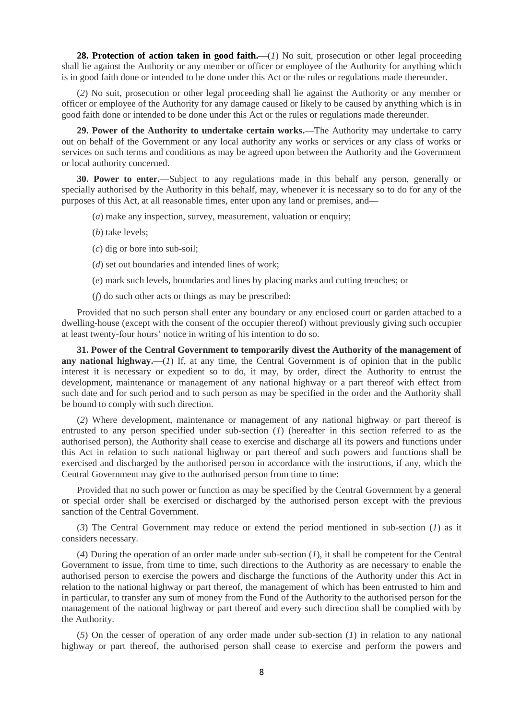**28. Protection of action taken in good faith.**—(*I*) No suit, prosecution or other legal proceeding shall lie against the Authority or any member or officer or employee of the Authority for anything which is in good faith done or intended to be done under this Act or the rules or regulations made thereunder.

(*2*) No suit, prosecution or other legal proceeding shall lie against the Authority or any member or officer or employee of the Authority for any damage caused or likely to be caused by anything which is in good faith done or intended to be done under this Act or the rules or regulations made thereunder.

**29. Power of the Authority to undertake certain works.**—The Authority may undertake to carry out on behalf of the Government or any local authority any works or services or any class of works or services on such terms and conditions as may be agreed upon between the Authority and the Government or local authority concerned.

**30. Power to enter.**—Subject to any regulations made in this behalf any person, generally or specially authorised by the Authority in this behalf, may, whenever it is necessary so to do for any of the purposes of this Act, at all reasonable times, enter upon any land or premises, and—

- (*a*) make any inspection, survey, measurement, valuation or enquiry;
- (*b*) take levels;
- (*c*) dig or bore into sub-soil;
- (*d*) set out boundaries and intended lines of work;
- (*e*) mark such levels, boundaries and lines by placing marks and cutting trenches; or
- (*f*) do such other acts or things as may be prescribed:

Provided that no such person shall enter any boundary or any enclosed court or garden attached to a dwelling-house (except with the consent of the occupier thereof) without previously giving such occupier at least twenty-four hours' notice in writing of his intention to do so.

**31. Power of the Central Government to temporarily divest the Authority of the management of any national highway.**—(*1*) If, at any time, the Central Government is of opinion that in the public interest it is necessary or expedient so to do, it may, by order, direct the Authority to entrust the development, maintenance or management of any national highway or a part thereof with effect from such date and for such period and to such person as may be specified in the order and the Authority shall be bound to comply with such direction.

(*2*) Where development, maintenance or management of any national highway or part thereof is entrusted to any person specified under sub-section (*1*) (hereafter in this section referred to as the authorised person), the Authority shall cease to exercise and discharge all its powers and functions under this Act in relation to such national highway or part thereof and such powers and functions shall be exercised and discharged by the authorised person in accordance with the instructions, if any, which the Central Government may give to the authorised person from time to time:

Provided that no such power or function as may be specified by the Central Government by a general or special order shall be exercised or discharged by the authorised person except with the previous sanction of the Central Government.

(*3*) The Central Government may reduce or extend the period mentioned in sub-section (*1*) as it considers necessary.

(*4*) During the operation of an order made under sub-section (*1*), it shall be competent for the Central Government to issue, from time to time, such directions to the Authority as are necessary to enable the authorised person to exercise the powers and discharge the functions of the Authority under this Act in relation to the national highway or part thereof, the management of which has been entrusted to him and in particular, to transfer any sum of money from the Fund of the Authority to the authorised person for the management of the national highway or part thereof and every such direction shall be complied with by the Authority.

(*5*) On the cesser of operation of any order made under sub-section (*1*) in relation to any national highway or part thereof, the authorised person shall cease to exercise and perform the powers and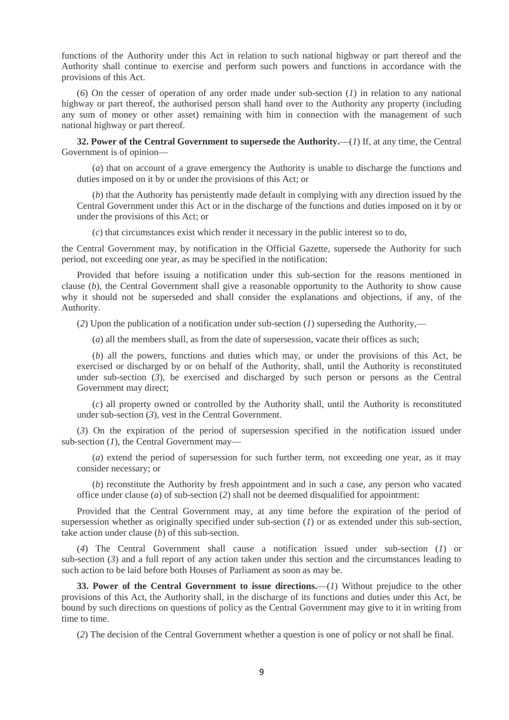functions of the Authority under this Act in relation to such national highway or part thereof and the Authority shall continue to exercise and perform such powers and functions in accordance with the provisions of this Act.

(*6*) On the cesser of operation of any order made under sub-section (*1*) in relation to any national highway or part thereof, the authorised person shall hand over to the Authority any property (including any sum of money or other asset) remaining with him in connection with the management of such national highway or part thereof.

**32. Power of the Central Government to supersede the Authority.**—(*1*) If, at any time, the Central Government is of opinion—

(*a*) that on account of a grave emergency the Authority is unable to discharge the functions and duties imposed on it by or under the provisions of this Act; or

(*b*) that the Authority has persistently made default in complying with any direction issued by the Central Government under this Act or in the discharge of the functions and duties imposed on it by or under the provisions of this Act; or

(*c*) that circumstances exist which render it necessary in the public interest so to do,

the Central Government may, by notification in the Official Gazette, supersede the Authority for such period, not exceeding one year, as may be specified in the notification:

Provided that before issuing a notification under this sub-section for the reasons mentioned in clause (*b*), the Central Government shall give a reasonable opportunity to the Authority to show cause why it should not be superseded and shall consider the explanations and objections, if any, of the Authority.

(*2*) Upon the publication of a notification under sub-section (*1*) superseding the Authority,—

(*a*) all the members shall, as from the date of supersession, vacate their offices as such;

(*b*) all the powers, functions and duties which may, or under the provisions of this Act, be exercised or discharged by or on behalf of the Authority, shall, until the Authority is reconstituted under sub-section (*3*), be exercised and discharged by such person or persons as the Central Government may direct;

(*c*) all property owned or controlled by the Authority shall, until the Authority is reconstituted under sub-section (*3*), vest in the Central Government.

(*3*) On the expiration of the period of supersession specified in the notification issued under sub-section (*1*), the Central Government may—

(*a*) extend the period of supersession for such further term, not exceeding one year, as it may consider necessary; or

(*b*) reconstitute the Authority by fresh appointment and in such a case, any person who vacated office under clause (*a*) of sub-section (*2*) shall not be deemed disqualified for appointment:

Provided that the Central Government may, at any time before the expiration of the period of supersession whether as originally specified under sub-section (*1*) or as extended under this sub-section, take action under clause (*b*) of this sub-section.

(*4*) The Central Government shall cause a notification issued under sub-section (*1*) or sub-section (*3*) and a full report of any action taken under this section and the circumstances leading to such action to be laid before both Houses of Parliament as soon as may be.

**33. Power of the Central Government to issue directions.**—(*1*) Without prejudice to the other provisions of this Act, the Authority shall, in the discharge of its functions and duties under this Act, be bound by such directions on questions of policy as the Central Government may give to it in writing from time to time.

(*2*) The decision of the Central Government whether a question is one of policy or not shall be final.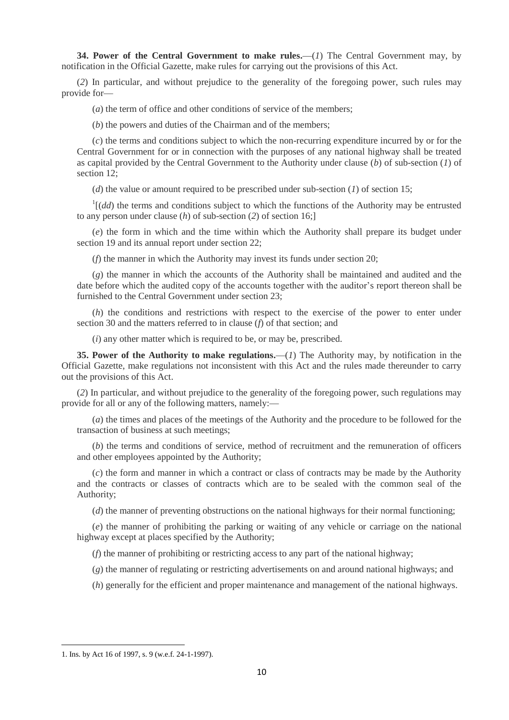**34. Power of the Central Government to make rules.**—(*1*) The Central Government may, by notification in the Official Gazette, make rules for carrying out the provisions of this Act.

(*2*) In particular, and without prejudice to the generality of the foregoing power, such rules may provide for—

(*a*) the term of office and other conditions of service of the members;

(*b*) the powers and duties of the Chairman and of the members;

(*c*) the terms and conditions subject to which the non-recurring expenditure incurred by or for the Central Government for or in connection with the purposes of any national highway shall be treated as capital provided by the Central Government to the Authority under clause (*b*) of sub-section (*1*) of section 12;

(*d*) the value or amount required to be prescribed under sub-section (*1*) of section 15;

 $\int$ <sup>1</sup>[(*dd*) the terms and conditions subject to which the functions of the Authority may be entrusted to any person under clause (*h*) of sub-section (*2*) of section 16;]

(*e*) the form in which and the time within which the Authority shall prepare its budget under section 19 and its annual report under section 22;

(*f*) the manner in which the Authority may invest its funds under section 20;

(*g*) the manner in which the accounts of the Authority shall be maintained and audited and the date before which the audited copy of the accounts together with the auditor's report thereon shall be furnished to the Central Government under section 23;

(*h*) the conditions and restrictions with respect to the exercise of the power to enter under section 30 and the matters referred to in clause (*f*) of that section; and

(*i*) any other matter which is required to be, or may be, prescribed.

**35. Power of the Authority to make regulations.**—(*1*) The Authority may, by notification in the Official Gazette, make regulations not inconsistent with this Act and the rules made thereunder to carry out the provisions of this Act.

(*2*) In particular, and without prejudice to the generality of the foregoing power, such regulations may provide for all or any of the following matters, namely:—

(*a*) the times and places of the meetings of the Authority and the procedure to be followed for the transaction of business at such meetings;

(*b*) the terms and conditions of service, method of recruitment and the remuneration of officers and other employees appointed by the Authority;

(*c*) the form and manner in which a contract or class of contracts may be made by the Authority and the contracts or classes of contracts which are to be sealed with the common seal of the Authority;

(*d*) the manner of preventing obstructions on the national highways for their normal functioning;

(*e*) the manner of prohibiting the parking or waiting of any vehicle or carriage on the national highway except at places specified by the Authority;

(*f*) the manner of prohibiting or restricting access to any part of the national highway;

(*g*) the manner of regulating or restricting advertisements on and around national highways; and

(*h*) generally for the efficient and proper maintenance and management of the national highways.

**.** 

<sup>1.</sup> Ins. by Act 16 of 1997, s. 9 (w.e.f. 24-1-1997).